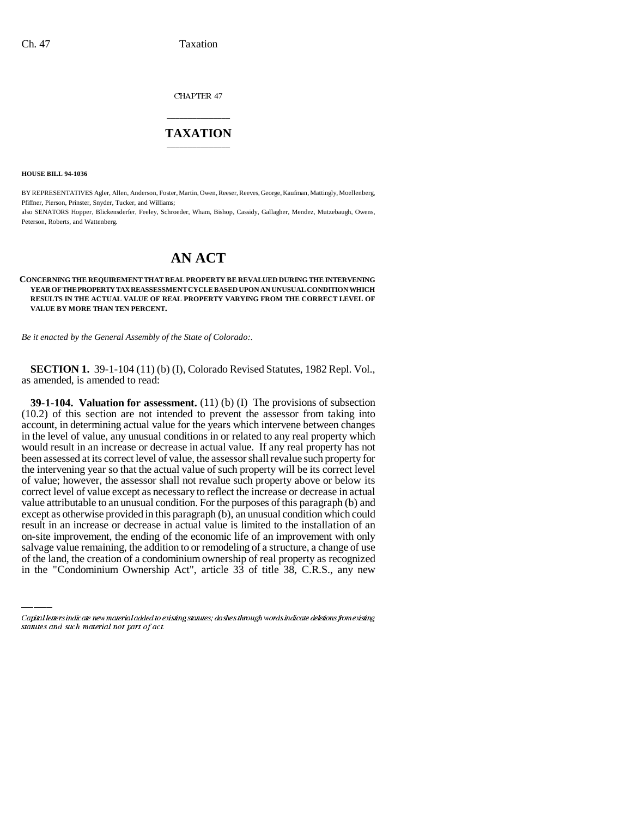CHAPTER 47

## \_\_\_\_\_\_\_\_\_\_\_\_\_\_\_ **TAXATION** \_\_\_\_\_\_\_\_\_\_\_\_\_\_\_

**HOUSE BILL 94-1036**

BY REPRESENTATIVES Agler, Allen, Anderson, Foster, Martin, Owen, Reeser, Reeves, George, Kaufman, Mattingly, Moellenberg, Pfiffner, Pierson, Prinster, Snyder, Tucker, and Williams;

also SENATORS Hopper, Blickensderfer, Feeley, Schroeder, Wham, Bishop, Cassidy, Gallagher, Mendez, Mutzebaugh, Owens, Peterson, Roberts, and Wattenberg.

## **AN ACT**

## **CONCERNING THE REQUIREMENT THAT REAL PROPERTY BE REVALUED DURING THE INTERVENING YEAR OF THE PROPERTY TAX REASSESSMENT CYCLE BASED UPON AN UNUSUAL CONDITION WHICH RESULTS IN THE ACTUAL VALUE OF REAL PROPERTY VARYING FROM THE CORRECT LEVEL OF VALUE BY MORE THAN TEN PERCENT.**

*Be it enacted by the General Assembly of the State of Colorado:.*

**SECTION 1.** 39-1-104 (11) (b) (I), Colorado Revised Statutes, 1982 Repl. Vol., as amended, is amended to read:

result in an increase or decrease in actual value is limited to the installation of an<br>on-site improvement, the ending of the economic life of an improvement with only **39-1-104. Valuation for assessment.** (11) (b) (I) The provisions of subsection (10.2) of this section are not intended to prevent the assessor from taking into account, in determining actual value for the years which intervene between changes in the level of value, any unusual conditions in or related to any real property which would result in an increase or decrease in actual value. If any real property has not been assessed at its correct level of value, the assessor shall revalue such property for the intervening year so that the actual value of such property will be its correct level of value; however, the assessor shall not revalue such property above or below its correct level of value except as necessary to reflect the increase or decrease in actual value attributable to an unusual condition. For the purposes of this paragraph (b) and except as otherwise provided in this paragraph (b), an unusual condition which could result in an increase or decrease in actual value is limited to the installation of an salvage value remaining, the addition to or remodeling of a structure, a change of use of the land, the creation of a condominium ownership of real property as recognized in the "Condominium Ownership Act", article 33 of title 38, C.R.S., any new

Capital letters indicate new material added to existing statutes; dashes through words indicate deletions from existing statutes and such material not part of act.